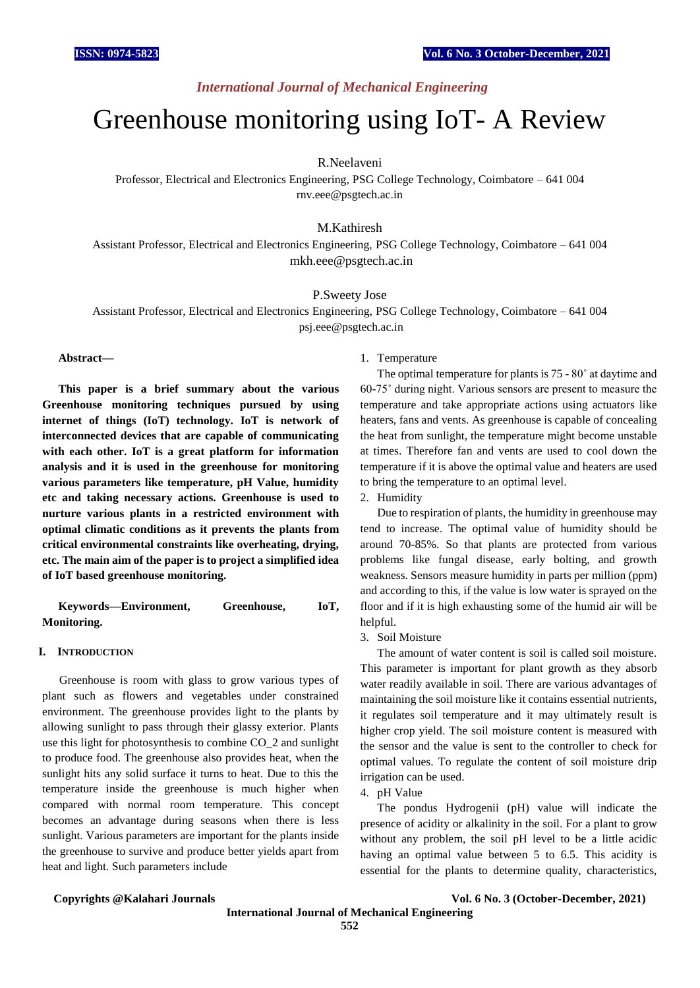# *International Journal of Mechanical Engineering*

# Greenhouse monitoring using IoT- A Review

R.Neelaveni

Professor, Electrical and Electronics Engineering, PSG College Technology, Coimbatore – 641 004 rnv.eee@psgtech.ac.in

# M.Kathiresh

Assistant Professor, Electrical and Electronics Engineering, PSG College Technology, Coimbatore – 641 004 [mkh.eee@psgtech.ac.in](mailto:mkh.eee@psgtech.ac.in)

P.Sweety Jose

Assistant Professor, Electrical and Electronics Engineering, PSG College Technology, Coimbatore – 641 004 psj.eee@psgtech.ac.in

# **Abstract—**

**This paper is a brief summary about the various Greenhouse monitoring techniques pursued by using internet of things (IoT) technology. IoT is network of interconnected devices that are capable of communicating with each other. IoT is a great platform for information analysis and it is used in the greenhouse for monitoring various parameters like temperature, pH Value, humidity etc and taking necessary actions. Greenhouse is used to nurture various plants in a restricted environment with optimal climatic conditions as it prevents the plants from critical environmental constraints like overheating, drying, etc. The main aim of the paper is to project a simplified idea of IoT based greenhouse monitoring.**

**Keywords—Environment, Greenhouse, IoT, Monitoring.**

### **I. INTRODUCTION**

Greenhouse is room with glass to grow various types of plant such as flowers and vegetables under constrained environment. The greenhouse provides light to the plants by allowing sunlight to pass through their glassy exterior. Plants use this light for photosynthesis to combine CO\_2 and sunlight to produce food. The greenhouse also provides heat, when the sunlight hits any solid surface it turns to heat. Due to this the temperature inside the greenhouse is much higher when compared with normal room temperature. This concept becomes an advantage during seasons when there is less sunlight. Various parameters are important for the plants inside the greenhouse to survive and produce better yields apart from heat and light. Such parameters include

# 1. Temperature

The optimal temperature for plants is 75 - 80˚ at daytime and 60-75˚ during night. Various sensors are present to measure the temperature and take appropriate actions using actuators like heaters, fans and vents. As greenhouse is capable of concealing the heat from sunlight, the temperature might become unstable at times. Therefore fan and vents are used to cool down the temperature if it is above the optimal value and heaters are used to bring the temperature to an optimal level.

2. Humidity

Due to respiration of plants, the humidity in greenhouse may tend to increase. The optimal value of humidity should be around 70-85%. So that plants are protected from various problems like fungal disease, early bolting, and growth weakness. Sensors measure humidity in parts per million (ppm) and according to this, if the value is low water is sprayed on the floor and if it is high exhausting some of the humid air will be helpful.

# 3. Soil Moisture

The amount of water content is soil is called soil moisture. This parameter is important for plant growth as they absorb water readily available in soil. There are various advantages of maintaining the soil moisture like it contains essential nutrients, it regulates soil temperature and it may ultimately result is higher crop yield. The soil moisture content is measured with the sensor and the value is sent to the controller to check for optimal values. To regulate the content of soil moisture drip irrigation can be used.

4. pH Value

The pondus Hydrogenii (pH) value will indicate the presence of acidity or alkalinity in the soil. For a plant to grow without any problem, the soil pH level to be a little acidic having an optimal value between 5 to 6.5. This acidity is essential for the plants to determine quality, characteristics,

### **Copyrights @Kalahari Journals Vol. 6 No. 3 (October-December, 2021)**

**International Journal of Mechanical Engineering 552**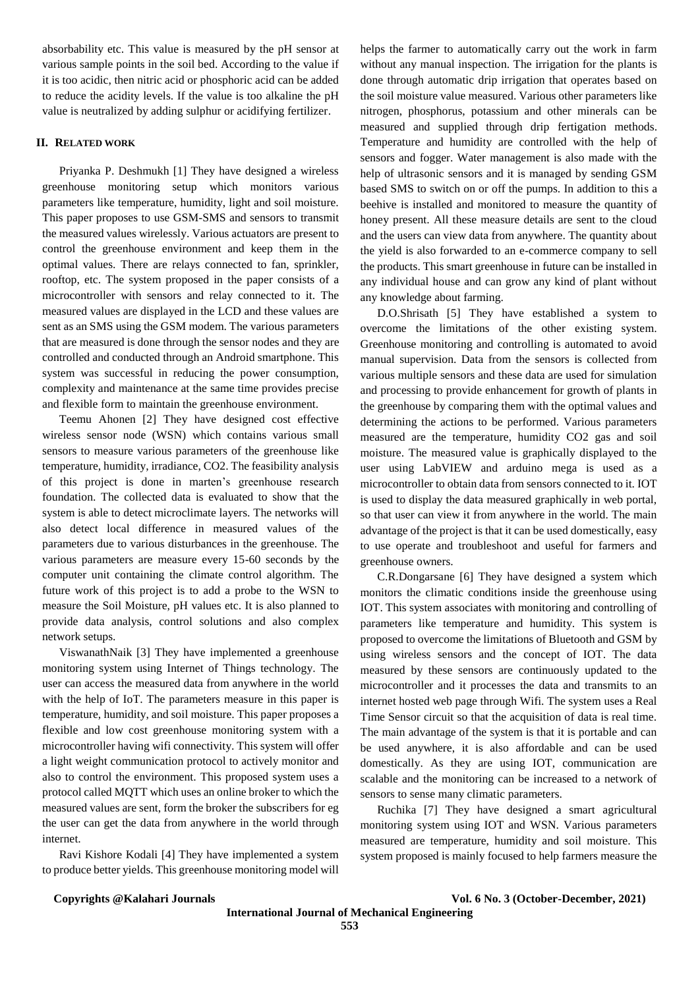absorbability etc. This value is measured by the pH sensor at various sample points in the soil bed. According to the value if it is too acidic, then nitric acid or phosphoric acid can be added to reduce the acidity levels. If the value is too alkaline the pH value is neutralized by adding sulphur or acidifying fertilizer.

# **II. RELATED WORK**

Priyanka P. Deshmukh [1] They have designed a wireless greenhouse monitoring setup which monitors various parameters like temperature, humidity, light and soil moisture. This paper proposes to use GSM-SMS and sensors to transmit the measured values wirelessly. Various actuators are present to control the greenhouse environment and keep them in the optimal values. There are relays connected to fan, sprinkler, rooftop, etc. The system proposed in the paper consists of a microcontroller with sensors and relay connected to it. The measured values are displayed in the LCD and these values are sent as an SMS using the GSM modem. The various parameters that are measured is done through the sensor nodes and they are controlled and conducted through an Android smartphone. This system was successful in reducing the power consumption, complexity and maintenance at the same time provides precise and flexible form to maintain the greenhouse environment.

Teemu Ahonen [2] They have designed cost effective wireless sensor node (WSN) which contains various small sensors to measure various parameters of the greenhouse like temperature, humidity, irradiance, CO2. The feasibility analysis of this project is done in marten's greenhouse research foundation. The collected data is evaluated to show that the system is able to detect microclimate layers. The networks will also detect local difference in measured values of the parameters due to various disturbances in the greenhouse. The various parameters are measure every 15-60 seconds by the computer unit containing the climate control algorithm. The future work of this project is to add a probe to the WSN to measure the Soil Moisture, pH values etc. It is also planned to provide data analysis, control solutions and also complex network setups.

ViswanathNaik [3] They have implemented a greenhouse monitoring system using Internet of Things technology. The user can access the measured data from anywhere in the world with the help of IoT. The parameters measure in this paper is temperature, humidity, and soil moisture. This paper proposes a flexible and low cost greenhouse monitoring system with a microcontroller having wifi connectivity. This system will offer a light weight communication protocol to actively monitor and also to control the environment. This proposed system uses a protocol called MQTT which uses an online broker to which the measured values are sent, form the broker the subscribers for eg the user can get the data from anywhere in the world through internet.

Ravi Kishore Kodali [4] They have implemented a system to produce better yields. This greenhouse monitoring model will helps the farmer to automatically carry out the work in farm without any manual inspection. The irrigation for the plants is done through automatic drip irrigation that operates based on the soil moisture value measured. Various other parameters like nitrogen, phosphorus, potassium and other minerals can be measured and supplied through drip fertigation methods. Temperature and humidity are controlled with the help of sensors and fogger. Water management is also made with the help of ultrasonic sensors and it is managed by sending GSM based SMS to switch on or off the pumps. In addition to this a beehive is installed and monitored to measure the quantity of honey present. All these measure details are sent to the cloud and the users can view data from anywhere. The quantity about the yield is also forwarded to an e-commerce company to sell the products. This smart greenhouse in future can be installed in any individual house and can grow any kind of plant without any knowledge about farming.

D.O.Shrisath [5] They have established a system to overcome the limitations of the other existing system. Greenhouse monitoring and controlling is automated to avoid manual supervision. Data from the sensors is collected from various multiple sensors and these data are used for simulation and processing to provide enhancement for growth of plants in the greenhouse by comparing them with the optimal values and determining the actions to be performed. Various parameters measured are the temperature, humidity CO2 gas and soil moisture. The measured value is graphically displayed to the user using LabVIEW and arduino mega is used as a microcontroller to obtain data from sensors connected to it. IOT is used to display the data measured graphically in web portal, so that user can view it from anywhere in the world. The main advantage of the project is that it can be used domestically, easy to use operate and troubleshoot and useful for farmers and greenhouse owners.

C.R.Dongarsane [6] They have designed a system which monitors the climatic conditions inside the greenhouse using IOT. This system associates with monitoring and controlling of parameters like temperature and humidity. This system is proposed to overcome the limitations of Bluetooth and GSM by using wireless sensors and the concept of IOT. The data measured by these sensors are continuously updated to the microcontroller and it processes the data and transmits to an internet hosted web page through Wifi. The system uses a Real Time Sensor circuit so that the acquisition of data is real time. The main advantage of the system is that it is portable and can be used anywhere, it is also affordable and can be used domestically. As they are using IOT, communication are scalable and the monitoring can be increased to a network of sensors to sense many climatic parameters.

Ruchika [7] They have designed a smart agricultural monitoring system using IOT and WSN. Various parameters measured are temperature, humidity and soil moisture. This system proposed is mainly focused to help farmers measure the

# **Copyrights @Kalahari Journals Vol. 6 No. 3 (October-December, 2021)**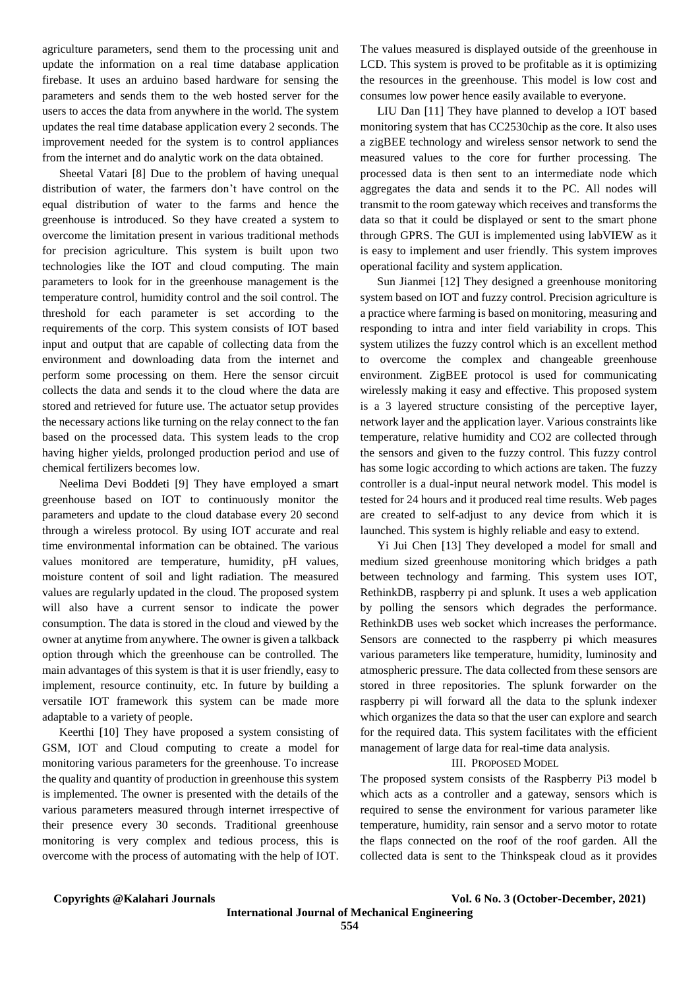agriculture parameters, send them to the processing unit and update the information on a real time database application firebase. It uses an arduino based hardware for sensing the parameters and sends them to the web hosted server for the users to acces the data from anywhere in the world. The system updates the real time database application every 2 seconds. The improvement needed for the system is to control appliances from the internet and do analytic work on the data obtained.

Sheetal Vatari [8] Due to the problem of having unequal distribution of water, the farmers don't have control on the equal distribution of water to the farms and hence the greenhouse is introduced. So they have created a system to overcome the limitation present in various traditional methods for precision agriculture. This system is built upon two technologies like the IOT and cloud computing. The main parameters to look for in the greenhouse management is the temperature control, humidity control and the soil control. The threshold for each parameter is set according to the requirements of the corp. This system consists of IOT based input and output that are capable of collecting data from the environment and downloading data from the internet and perform some processing on them. Here the sensor circuit collects the data and sends it to the cloud where the data are stored and retrieved for future use. The actuator setup provides the necessary actions like turning on the relay connect to the fan based on the processed data. This system leads to the crop having higher yields, prolonged production period and use of chemical fertilizers becomes low.

Neelima Devi Boddeti [9] They have employed a smart greenhouse based on IOT to continuously monitor the parameters and update to the cloud database every 20 second through a wireless protocol. By using IOT accurate and real time environmental information can be obtained. The various values monitored are temperature, humidity, pH values, moisture content of soil and light radiation. The measured values are regularly updated in the cloud. The proposed system will also have a current sensor to indicate the power consumption. The data is stored in the cloud and viewed by the owner at anytime from anywhere. The owner is given a talkback option through which the greenhouse can be controlled. The main advantages of this system is that it is user friendly, easy to implement, resource continuity, etc. In future by building a versatile IOT framework this system can be made more adaptable to a variety of people.

Keerthi [10] They have proposed a system consisting of GSM, IOT and Cloud computing to create a model for monitoring various parameters for the greenhouse. To increase the quality and quantity of production in greenhouse this system is implemented. The owner is presented with the details of the various parameters measured through internet irrespective of their presence every 30 seconds. Traditional greenhouse monitoring is very complex and tedious process, this is overcome with the process of automating with the help of IOT. The values measured is displayed outside of the greenhouse in LCD. This system is proved to be profitable as it is optimizing the resources in the greenhouse. This model is low cost and consumes low power hence easily available to everyone.

LIU Dan [11] They have planned to develop a IOT based monitoring system that has CC2530chip as the core. It also uses a zigBEE technology and wireless sensor network to send the measured values to the core for further processing. The processed data is then sent to an intermediate node which aggregates the data and sends it to the PC. All nodes will transmit to the room gateway which receives and transforms the data so that it could be displayed or sent to the smart phone through GPRS. The GUI is implemented using labVIEW as it is easy to implement and user friendly. This system improves operational facility and system application.

Sun Jianmei [12] They designed a greenhouse monitoring system based on IOT and fuzzy control. Precision agriculture is a practice where farming is based on monitoring, measuring and responding to intra and inter field variability in crops. This system utilizes the fuzzy control which is an excellent method to overcome the complex and changeable greenhouse environment. ZigBEE protocol is used for communicating wirelessly making it easy and effective. This proposed system is a 3 layered structure consisting of the perceptive layer, network layer and the application layer. Various constraints like temperature, relative humidity and CO2 are collected through the sensors and given to the fuzzy control. This fuzzy control has some logic according to which actions are taken. The fuzzy controller is a dual-input neural network model. This model is tested for 24 hours and it produced real time results. Web pages are created to self-adjust to any device from which it is launched. This system is highly reliable and easy to extend.

Yi Jui Chen [13] They developed a model for small and medium sized greenhouse monitoring which bridges a path between technology and farming. This system uses IOT, RethinkDB, raspberry pi and splunk. It uses a web application by polling the sensors which degrades the performance. RethinkDB uses web socket which increases the performance. Sensors are connected to the raspberry pi which measures various parameters like temperature, humidity, luminosity and atmospheric pressure. The data collected from these sensors are stored in three repositories. The splunk forwarder on the raspberry pi will forward all the data to the splunk indexer which organizes the data so that the user can explore and search for the required data. This system facilitates with the efficient management of large data for real-time data analysis.

# III. PROPOSED MODEL

The proposed system consists of the Raspberry Pi3 model b which acts as a controller and a gateway, sensors which is required to sense the environment for various parameter like temperature, humidity, rain sensor and a servo motor to rotate the flaps connected on the roof of the roof garden. All the collected data is sent to the Thinkspeak cloud as it provides

**Copyrights @Kalahari Journals Vol. 6 No. 3 (October-December, 2021)**

**International Journal of Mechanical Engineering**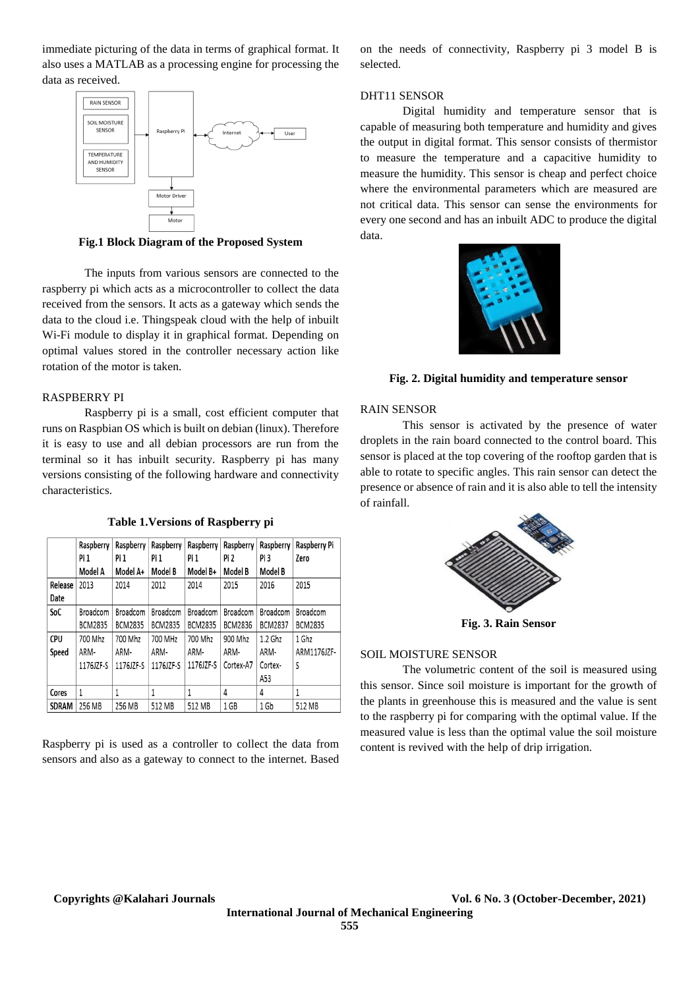immediate picturing of the data in terms of graphical format. It also uses a MATLAB as a processing engine for processing the data as received.



**Fig.1 Block Diagram of the Proposed System**

The inputs from various sensors are connected to the raspberry pi which acts as a microcontroller to collect the data received from the sensors. It acts as a gateway which sends the data to the cloud i.e. Thingspeak cloud with the help of inbuilt Wi-Fi module to display it in graphical format. Depending on optimal values stored in the controller necessary action like rotation of the motor is taken.

# RASPBERRY PI

Raspberry pi is a small, cost efficient computer that runs on Raspbian OS which is built on debian (linux). Therefore it is easy to use and all debian processors are run from the terminal so it has inbuilt security. Raspberry pi has many versions consisting of the following hardware and connectivity characteristics.

**Table 1.Versions of Raspberry pi**

|              | Raspberry      | Raspberry      | Raspberry      | Raspberry      | Raspberry      | Raspberry      | Raspberry Pi   |
|--------------|----------------|----------------|----------------|----------------|----------------|----------------|----------------|
|              | Pi 1           | Pi 1           | Pi 1           | Pi 1           | Pi 2           | Pi 3           | Zero           |
|              | Model A        | Model A+       | Model B        | Model B+       | Model B        | Model B        |                |
| Release      | 2013           | 2014           | 2012           | 2014           | 2015           | 2016           | 2015           |
| Date         |                |                |                |                |                |                |                |
| SoC          | Broadcom       | Broadcom       | Broadcom       | Broadcom       | Broadcom       | Broadcom       | Broadcom       |
|              | <b>BCM2835</b> | <b>BCM2835</b> | <b>BCM2835</b> | <b>BCM2835</b> | <b>BCM2836</b> | <b>BCM2837</b> | <b>BCM2835</b> |
| <b>CPU</b>   | 700 Mhz        | 700 Mhz        | 700 MHz        | 700 Mhz        | 900 Mhz        | 1.2 Ghz        | 1 Ghz          |
| Speed        | ARM-           | ARM-           | ARM-           | ARM-           | ARM-           | ARM-           | ARM1176JZF-    |
|              | 1176JZF-S      | 1176JZF-S      | 1176JZF-S      | 1176JZF-S      | Cortex-A7      | Cortex-        | S              |
|              |                |                |                |                |                | A53            |                |
| Cores        | 1              | 1              | 1              | 1              | 4              | 4              | 1              |
| <b>SDRAM</b> | 256 MB         | 256 MB         | 512 MB         | 512 MB         | 1 GB           | 1 Gb           | 512 MB         |

Raspberry pi is used as a controller to collect the data from sensors and also as a gateway to connect to the internet. Based

on the needs of connectivity, Raspberry pi 3 model B is selected.

### DHT11 SENSOR

Digital humidity and temperature sensor that is capable of measuring both temperature and humidity and gives the output in digital format. This sensor consists of thermistor to measure the temperature and a capacitive humidity to measure the humidity. This sensor is cheap and perfect choice where the environmental parameters which are measured are not critical data. This sensor can sense the environments for every one second and has an inbuilt ADC to produce the digital data.



**Fig. 2. Digital humidity and temperature sensor**

# RAIN SENSOR

This sensor is activated by the presence of water droplets in the rain board connected to the control board. This sensor is placed at the top covering of the rooftop garden that is able to rotate to specific angles. This rain sensor can detect the presence or absence of rain and it is also able to tell the intensity of rainfall.



**Fig. 3. Rain Sensor**

### SOIL MOISTURE SENSOR

The volumetric content of the soil is measured using this sensor. Since soil moisture is important for the growth of the plants in greenhouse this is measured and the value is sent to the raspberry pi for comparing with the optimal value. If the measured value is less than the optimal value the soil moisture content is revived with the help of drip irrigation.